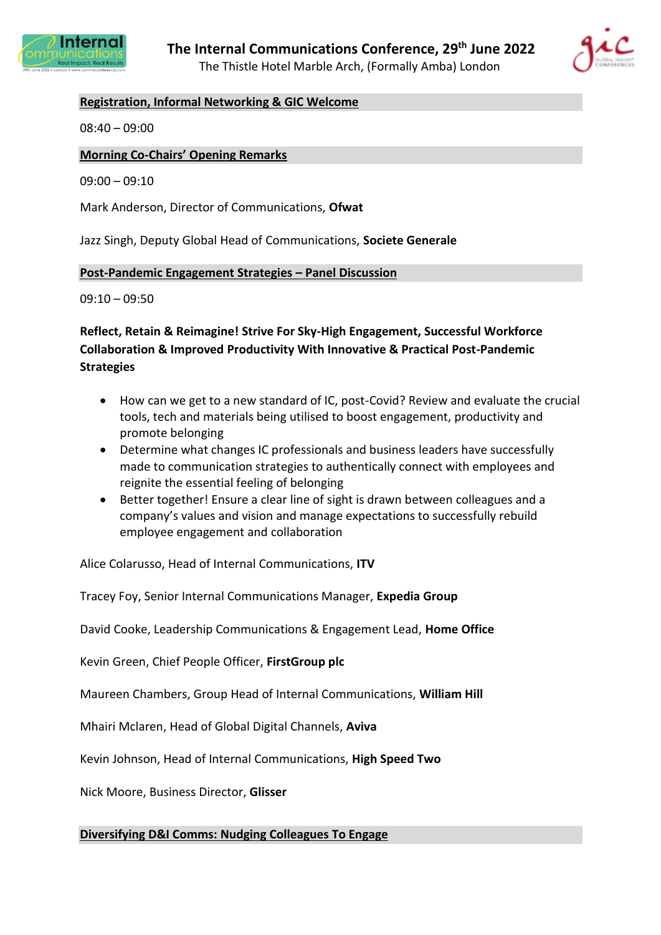



## **Registration, Informal Networking & GIC Welcome**

08:40 – 09:00

### **Morning Co-Chairs' Opening Remarks**

09:00 – 09:10

Mark Anderson, Director of Communications, **Ofwat**

Jazz Singh, Deputy Global Head of Communications, **Societe Generale**

#### **Post-Pandemic Engagement Strategies – Panel Discussion**

 $09:10 - 09:50$ 

# **Reflect, Retain & Reimagine! Strive For Sky-High Engagement, Successful Workforce Collaboration & Improved Productivity With Innovative & Practical Post-Pandemic Strategies**

- How can we get to a new standard of IC, post-Covid? Review and evaluate the crucial tools, tech and materials being utilised to boost engagement, productivity and promote belonging
- Determine what changes IC professionals and business leaders have successfully made to communication strategies to authentically connect with employees and reignite the essential feeling of belonging
- Better together! Ensure a clear line of sight is drawn between colleagues and a company's values and vision and manage expectations to successfully rebuild employee engagement and collaboration

Alice Colarusso, Head of Internal Communications, **ITV**

Tracey Foy, Senior Internal Communications Manager, **Expedia Group**

David Cooke, Leadership Communications & Engagement Lead, **Home Office**

Kevin Green, Chief People Officer, **FirstGroup plc**

Maureen Chambers, Group Head of Internal Communications, **William Hill**

Mhairi Mclaren, Head of Global Digital Channels, **Aviva**

Kevin Johnson, Head of Internal Communications, **High Speed Two**

Nick Moore, Business Director, **Glisser**

**Diversifying D&I Comms: Nudging Colleagues To Engage**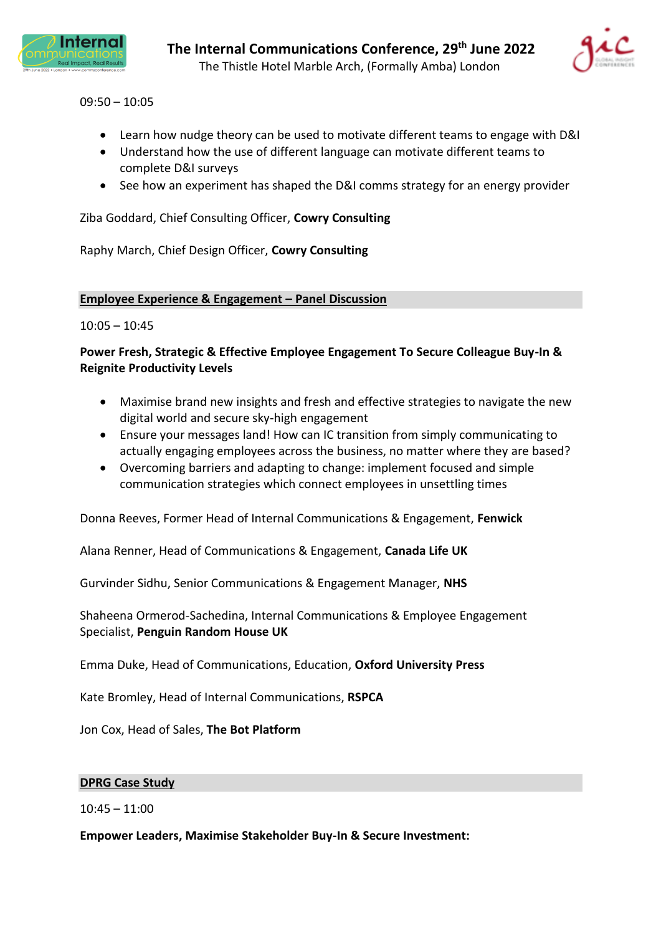



09:50 – 10:05

- Learn how nudge theory can be used to motivate different teams to engage with D&I
- Understand how the use of different language can motivate different teams to complete D&I surveys
- See how an experiment has shaped the D&I comms strategy for an energy provider

Ziba Goddard, Chief Consulting Officer, **Cowry Consulting**

Raphy March, Chief Design Officer, **Cowry Consulting**

#### **Employee Experience & Engagement – Panel Discussion**

 $10:05 - 10:45$ 

## **Power Fresh, Strategic & Effective Employee Engagement To Secure Colleague Buy-In & Reignite Productivity Levels**

- Maximise brand new insights and fresh and effective strategies to navigate the new digital world and secure sky-high engagement
- Ensure your messages land! How can IC transition from simply communicating to actually engaging employees across the business, no matter where they are based?
- Overcoming barriers and adapting to change: implement focused and simple communication strategies which connect employees in unsettling times

Donna Reeves, Former Head of Internal Communications & Engagement, **Fenwick**

Alana Renner, Head of Communications & Engagement, **Canada Life UK**

Gurvinder Sidhu, Senior Communications & Engagement Manager, **NHS**

Shaheena Ormerod-Sachedina, Internal Communications & Employee Engagement Specialist, **Penguin Random House UK**

Emma Duke, Head of Communications, Education, **Oxford University Press**

Kate Bromley, Head of Internal Communications, **RSPCA**

Jon Cox, Head of Sales, **The Bot Platform**

### **DPRG Case Study**

 $10:45 - 11:00$ 

**Empower Leaders, Maximise Stakeholder Buy-In & Secure Investment:**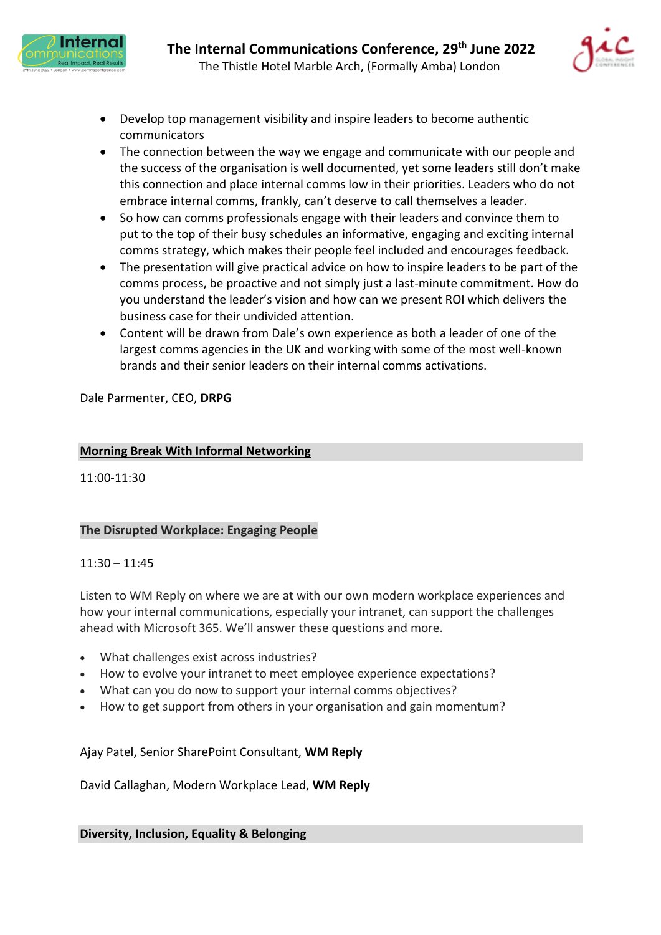



- Develop top management visibility and inspire leaders to become authentic communicators
- The connection between the way we engage and communicate with our people and the success of the organisation is well documented, yet some leaders still don't make this connection and place internal comms low in their priorities. Leaders who do not embrace internal comms, frankly, can't deserve to call themselves a leader.
- So how can comms professionals engage with their leaders and convince them to put to the top of their busy schedules an informative, engaging and exciting internal comms strategy, which makes their people feel included and encourages feedback.
- The presentation will give practical advice on how to inspire leaders to be part of the comms process, be proactive and not simply just a last-minute commitment. How do you understand the leader's vision and how can we present ROI which delivers the business case for their undivided attention.
- Content will be drawn from Dale's own experience as both a leader of one of the largest comms agencies in the UK and working with some of the most well-known brands and their senior leaders on their internal comms activations.

Dale Parmenter, CEO, **DRPG**

## **Morning Break With Informal Networking**

11:00-11:30

# **The Disrupted Workplace: Engaging People**

## 11:30 – 11:45

Listen to WM Reply on where we are at with our own modern workplace experiences and how your internal communications, especially your intranet, can support the challenges ahead with Microsoft 365. We'll answer these questions and more.

- What challenges exist across industries?
- How to evolve your intranet to meet employee experience expectations?
- What can you do now to support your internal comms objectives?
- How to get support from others in your organisation and gain momentum?

## Ajay Patel, Senior SharePoint Consultant, **WM Reply**

David Callaghan, Modern Workplace Lead, **WM Reply**

## **Diversity, Inclusion, Equality & Belonging**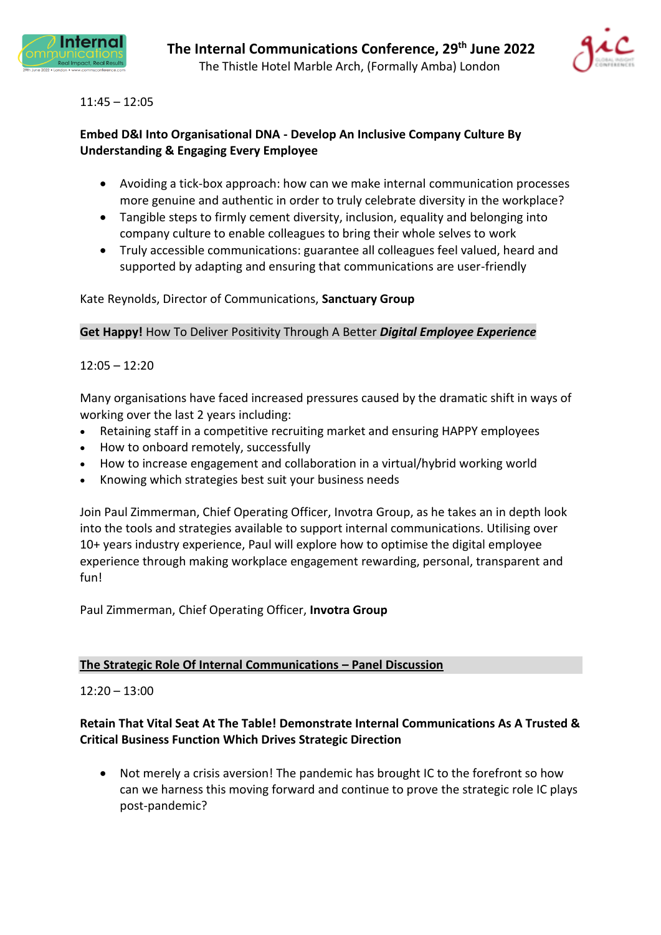



## 11:45 – 12:05

# **Embed D&I Into Organisational DNA - Develop An Inclusive Company Culture By Understanding & Engaging Every Employee**

- Avoiding a tick-box approach: how can we make internal communication processes more genuine and authentic in order to truly celebrate diversity in the workplace?
- Tangible steps to firmly cement diversity, inclusion, equality and belonging into company culture to enable colleagues to bring their whole selves to work
- Truly accessible communications: guarantee all colleagues feel valued, heard and supported by adapting and ensuring that communications are user-friendly

## Kate Reynolds, Director of Communications, **Sanctuary Group**

**Get Happy!** How To Deliver Positivity Through A Better *Digital Employee Experience*

## 12:05 – 12:20

Many organisations have faced increased pressures caused by the dramatic shift in ways of working over the last 2 years including:

- Retaining staff in a competitive recruiting market and ensuring HAPPY employees
- How to onboard remotely, successfully
- How to increase engagement and collaboration in a virtual/hybrid working world
- Knowing which strategies best suit your business needs

Join Paul Zimmerman, Chief Operating Officer, Invotra Group, as he takes an in depth look into the tools and strategies available to support internal communications. Utilising over 10+ years industry experience, Paul will explore how to optimise the digital employee experience through making workplace engagement rewarding, personal, transparent and fun!

Paul Zimmerman, Chief Operating Officer, **Invotra Group**

### **The Strategic Role Of Internal Communications – Panel Discussion**

### $12:20 - 13:00$

## **Retain That Vital Seat At The Table! Demonstrate Internal Communications As A Trusted & Critical Business Function Which Drives Strategic Direction**

• Not merely a crisis aversion! The pandemic has brought IC to the forefront so how can we harness this moving forward and continue to prove the strategic role IC plays post-pandemic?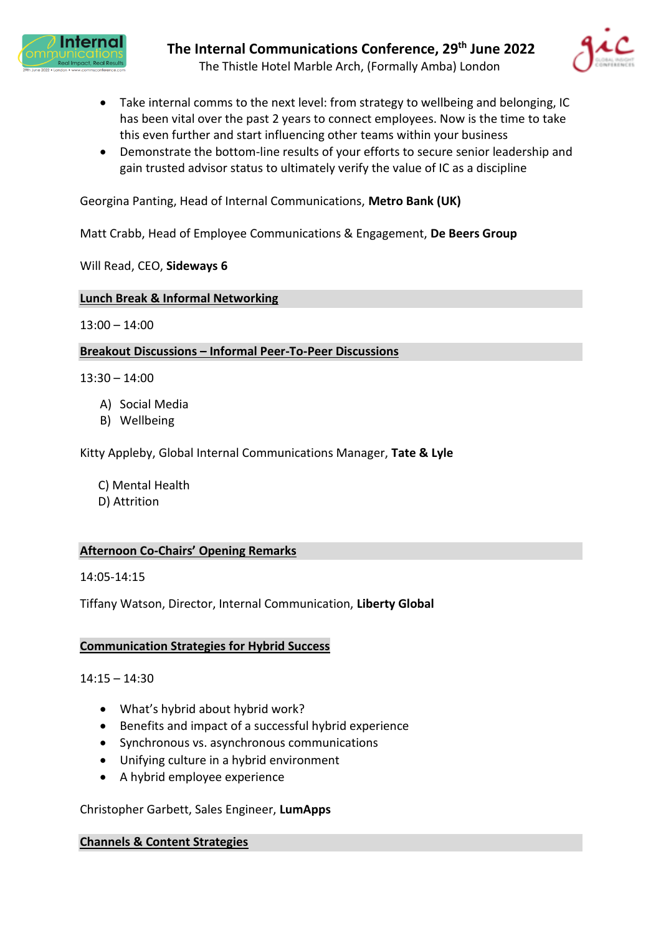



- Take internal comms to the next level: from strategy to wellbeing and belonging, IC has been vital over the past 2 years to connect employees. Now is the time to take this even further and start influencing other teams within your business
- Demonstrate the bottom-line results of your efforts to secure senior leadership and gain trusted advisor status to ultimately verify the value of IC as a discipline

Georgina Panting, Head of Internal Communications, **Metro Bank (UK)**

Matt Crabb, Head of Employee Communications & Engagement, **De Beers Group**

Will Read, CEO, **Sideways 6**

#### **Lunch Break & Informal Networking**

 $13:00 - 14:00$ 

#### **Breakout Discussions – Informal Peer-To-Peer Discussions**

 $13:30 - 14:00$ 

- A) Social Media
- B) Wellbeing

Kitty Appleby, Global Internal Communications Manager, **Tate & Lyle**

C) Mental Health

D) Attrition

### **Afternoon Co-Chairs' Opening Remarks**

14:05-14:15

Tiffany Watson, Director, Internal Communication, **Liberty Global**

### **Communication Strategies for Hybrid Success**

 $14:15 - 14:30$ 

- What's hybrid about hybrid work?
- Benefits and impact of a successful hybrid experience
- Synchronous vs. asynchronous communications
- Unifying culture in a hybrid environment
- A hybrid employee experience

### Christopher Garbett, Sales Engineer, **LumApps**

**Channels & Content Strategies**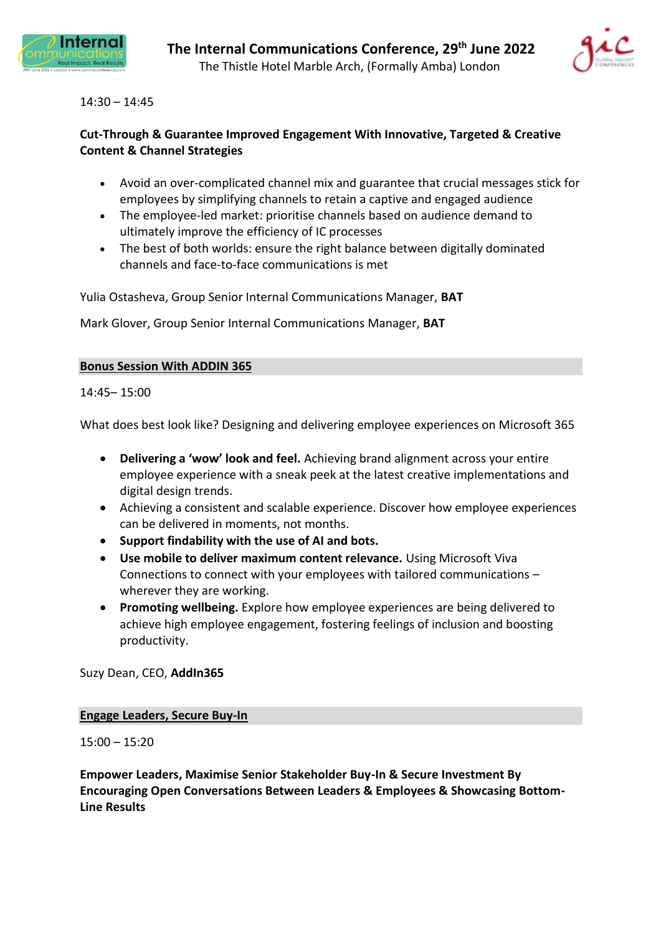



### 14:30 – 14:45

## **Cut-Through & Guarantee Improved Engagement With Innovative, Targeted & Creative Content & Channel Strategies**

- Avoid an over-complicated channel mix and guarantee that crucial messages stick for employees by simplifying channels to retain a captive and engaged audience
- The employee-led market: prioritise channels based on audience demand to ultimately improve the efficiency of IC processes
- The best of both worlds: ensure the right balance between digitally dominated channels and face-to-face communications is met

Yulia Ostasheva, Group Senior Internal Communications Manager, **BAT**

Mark Glover, Group Senior Internal Communications Manager, **BAT**

### **Bonus Session With ADDIN 365**

14:45– 15:00

What does best look like? Designing and delivering employee experiences on Microsoft 365

- **Delivering a 'wow' look and feel.** Achieving brand alignment across your entire employee experience with a sneak peek at the latest creative implementations and digital design trends.
- Achieving a consistent and scalable experience. Discover how employee experiences can be delivered in moments, not months.
- **Support findability with the use of AI and bots.**
- **Use mobile to deliver maximum content relevance.** Using Microsoft Viva Connections to connect with your employees with tailored communications – wherever they are working.
- **Promoting wellbeing.** Explore how employee experiences are being delivered to achieve high employee engagement, fostering feelings of inclusion and boosting productivity.

Suzy Dean, CEO, **AddIn365**

### **Engage Leaders, Secure Buy-In**

 $15:00 - 15:20$ 

**Empower Leaders, Maximise Senior Stakeholder Buy-In & Secure Investment By Encouraging Open Conversations Between Leaders & Employees & Showcasing Bottom-Line Results**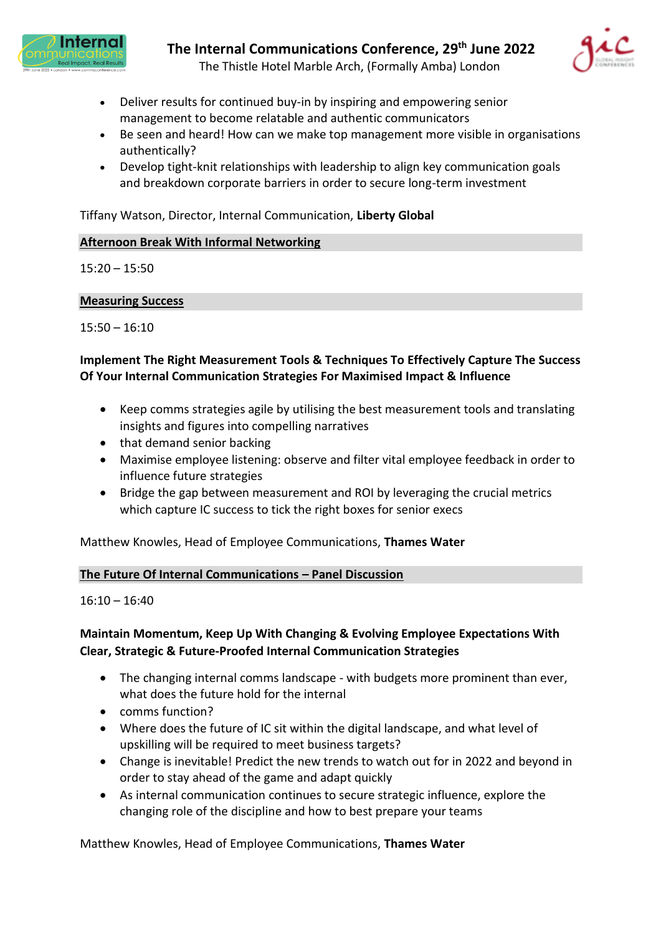



- Deliver results for continued buy-in by inspiring and empowering senior management to become relatable and authentic communicators
- Be seen and heard! How can we make top management more visible in organisations authentically?
- Develop tight-knit relationships with leadership to align key communication goals and breakdown corporate barriers in order to secure long-term investment

Tiffany Watson, Director, Internal Communication, **Liberty Global**

### **Afternoon Break With Informal Networking**

15:20 – 15:50

### **Measuring Success**

15:50 – 16:10

## **Implement The Right Measurement Tools & Techniques To Effectively Capture The Success Of Your Internal Communication Strategies For Maximised Impact & Influence**

- Keep comms strategies agile by utilising the best measurement tools and translating insights and figures into compelling narratives
- that demand senior backing
- Maximise employee listening: observe and filter vital employee feedback in order to influence future strategies
- Bridge the gap between measurement and ROI by leveraging the crucial metrics which capture IC success to tick the right boxes for senior execs

Matthew Knowles, Head of Employee Communications, **Thames Water**

### **The Future Of Internal Communications – Panel Discussion**

 $16:10 - 16:40$ 

# **Maintain Momentum, Keep Up With Changing & Evolving Employee Expectations With Clear, Strategic & Future-Proofed Internal Communication Strategies**

- The changing internal comms landscape with budgets more prominent than ever, what does the future hold for the internal
- comms function?
- Where does the future of IC sit within the digital landscape, and what level of upskilling will be required to meet business targets?
- Change is inevitable! Predict the new trends to watch out for in 2022 and beyond in order to stay ahead of the game and adapt quickly
- As internal communication continues to secure strategic influence, explore the changing role of the discipline and how to best prepare your teams

Matthew Knowles, Head of Employee Communications, **Thames Water**